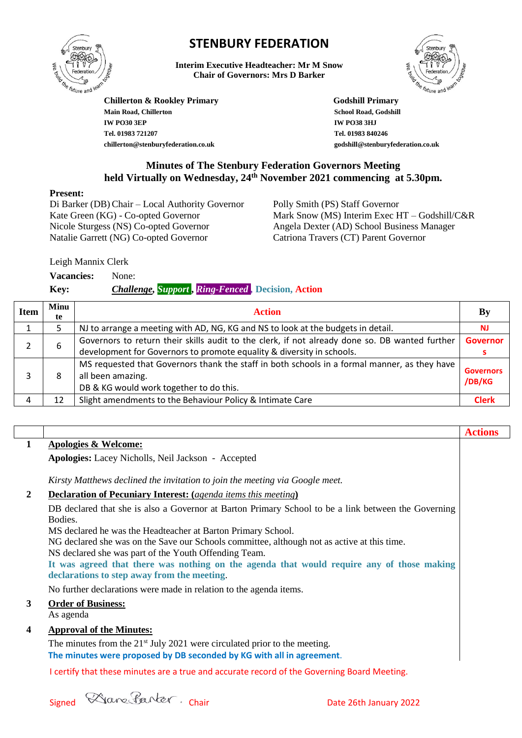

# **STENBURY FEDERATION**

**Interim Executive Headteacher: Mr M Snow Chair of Governors: Mrs D Barker**



**Actions**

**Chillerton & Rookley Primary Godshill Primary Main Road, Chillerton School Road, Godshill IW PO30 3EP IW PO38 3HJ Tel. 01983 721207 chillerton@stenburyfederation.co.uk**

 **Tel. 01983 840246 godshill@stenburyfederation.co.uk**

# **Minutes of The Stenbury Federation Governors Meeting held Virtually on Wednesday, 24th November 2021 commencing at 5.30pm.**

#### **Present:**

Di Barker (DB) Chair – Local Authority Governor Kate Green (KG) - Co-opted Governor Nicole Sturgess (NS) Co-opted Governor Natalie Garrett (NG) Co-opted Governor

Polly Smith (PS) Staff Governor Mark Snow (MS) Interim Exec HT – Godshill/C&R Angela Dexter (AD) School Business Manager Catriona Travers (CT) Parent Governor

Leigh Mannix Clerk

**Vacancies:** None:

**Key:** *Challenge, Support* **,** *Ring-Fenced ,* **Decision, Action**

| <b>Item</b> | Minu<br>te | <b>Action</b>                                                                                  | By                         |
|-------------|------------|------------------------------------------------------------------------------------------------|----------------------------|
|             |            | NJ to arrange a meeting with AD, NG, KG and NS to look at the budgets in detail.               | <b>NJ</b>                  |
|             | 6          | Governors to return their skills audit to the clerk, if not already done so. DB wanted further | <b>Governor</b>            |
|             |            | development for Governors to promote equality & diversity in schools.                          |                            |
|             | 8          | MS requested that Governors thank the staff in both schools in a formal manner, as they have   | <b>Governors</b><br>/DB/KG |
|             |            | all been amazing.                                                                              |                            |
|             |            | DB & KG would work together to do this.                                                        |                            |
|             | 12         | Slight amendments to the Behaviour Policy & Intimate Care                                      | <b>Clerk</b>               |

# **1 Apologies & Welcome:**

**Apologies:** Lacey Nicholls, Neil Jackson - Accepted

*Kirsty Matthews declined the invitation to join the meeting via Google meet.*

### **2 Declaration of Pecuniary Interest: (***agenda items this meeting***)**

DB declared that she is also a Governor at Barton Primary School to be a link between the Governing Bodies.

MS declared he was the Headteacher at Barton Primary School.

NG declared she was on the Save our Schools committee, although not as active at this time.

NS declared she was part of the Youth Offending Team.

**It was agreed that there was nothing on the agenda that would require any of those making declarations to step away from the meeting**.

No further declarations were made in relation to the agenda items.

### **3 Order of Business:**

As agenda

### **4 Approval of the Minutes:**

The minutes from the 21<sup>st</sup> July 2021 were circulated prior to the meeting. **The minutes were proposed by DB seconded by KG with all in agreement**.

I certify that these minutes are a true and accurate record of the Governing Board Meeting.

Signed Chair Chair Chair Date 26th January 2022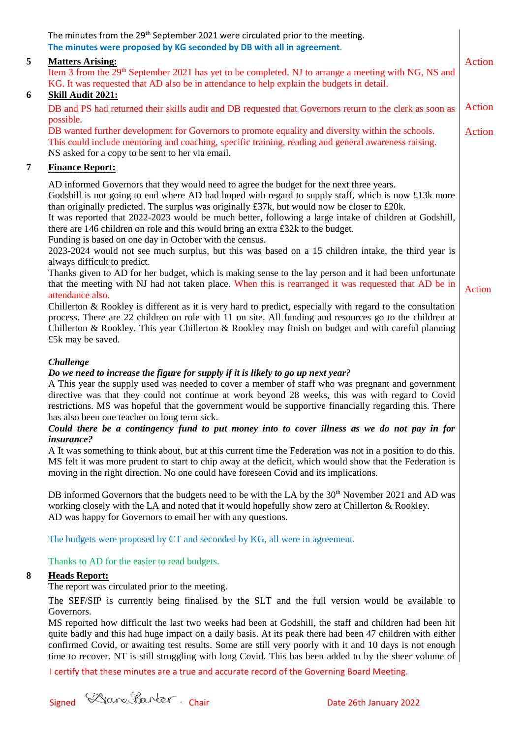|                | The minutes from the 29 <sup>th</sup> September 2021 were circulated prior to the meeting.<br>The minutes were proposed by KG seconded by DB with all in agreement.                                                                                                                                                                                                                                                                                                                                                                                                                                                                                                                                                                                                                                                        |               |
|----------------|----------------------------------------------------------------------------------------------------------------------------------------------------------------------------------------------------------------------------------------------------------------------------------------------------------------------------------------------------------------------------------------------------------------------------------------------------------------------------------------------------------------------------------------------------------------------------------------------------------------------------------------------------------------------------------------------------------------------------------------------------------------------------------------------------------------------------|---------------|
| 5              | <b>Matters Arising:</b><br>Item 3 from the 29 <sup>th</sup> September 2021 has yet to be completed. NJ to arrange a meeting with NG, NS and<br>KG. It was requested that AD also be in attendance to help explain the budgets in detail.                                                                                                                                                                                                                                                                                                                                                                                                                                                                                                                                                                                   | Action        |
| 6              | Skill Audit 2021:<br>DB and PS had returned their skills audit and DB requested that Governors return to the clerk as soon as                                                                                                                                                                                                                                                                                                                                                                                                                                                                                                                                                                                                                                                                                              | Action        |
|                | possible.<br>DB wanted further development for Governors to promote equality and diversity within the schools.<br>This could include mentoring and coaching, specific training, reading and general awareness raising.<br>NS asked for a copy to be sent to her via email.                                                                                                                                                                                                                                                                                                                                                                                                                                                                                                                                                 | Action        |
| $\overline{7}$ | <b>Finance Report:</b>                                                                                                                                                                                                                                                                                                                                                                                                                                                                                                                                                                                                                                                                                                                                                                                                     |               |
|                | AD informed Governors that they would need to agree the budget for the next three years.<br>Godshill is not going to end where AD had hoped with regard to supply staff, which is now £13k more<br>than originally predicted. The surplus was originally £37k, but would now be closer to £20k.<br>It was reported that 2022-2023 would be much better, following a large intake of children at Godshill,<br>there are 146 children on role and this would bring an extra £32k to the budget.<br>Funding is based on one day in October with the census.<br>2023-2024 would not see much surplus, but this was based on a 15 children intake, the third year is                                                                                                                                                            |               |
|                | always difficult to predict.<br>Thanks given to AD for her budget, which is making sense to the lay person and it had been unfortunate<br>that the meeting with NJ had not taken place. When this is rearranged it was requested that AD be in<br>attendance also.                                                                                                                                                                                                                                                                                                                                                                                                                                                                                                                                                         | <b>Action</b> |
|                | Chillerton $\&$ Rookley is different as it is very hard to predict, especially with regard to the consultation<br>process. There are 22 children on role with 11 on site. All funding and resources go to the children at<br>Chillerton & Rookley. This year Chillerton & Rookley may finish on budget and with careful planning<br>£5k may be saved.                                                                                                                                                                                                                                                                                                                                                                                                                                                                      |               |
|                | <b>Challenge</b><br>Do we need to increase the figure for supply if it is likely to go up next year?<br>A This year the supply used was needed to cover a member of staff who was pregnant and government<br>directive was that they could not continue at work beyond 28 weeks, this was with regard to Covid<br>restrictions. MS was hopeful that the government would be supportive financially regarding this. There<br>has also been one teacher on long term sick.<br>Could there be a contingency fund to put money into to cover illness as we do not pay in for<br><i>insurance?</i><br>A It was something to think about, but at this current time the Federation was not in a position to do this.<br>MS felt it was more prudent to start to chip away at the deficit, which would show that the Federation is |               |
|                | moving in the right direction. No one could have foreseen Covid and its implications.                                                                                                                                                                                                                                                                                                                                                                                                                                                                                                                                                                                                                                                                                                                                      |               |
|                | DB informed Governors that the budgets need to be with the LA by the 30 <sup>th</sup> November 2021 and AD was<br>working closely with the LA and noted that it would hopefully show zero at Chillerton & Rookley.<br>AD was happy for Governors to email her with any questions.                                                                                                                                                                                                                                                                                                                                                                                                                                                                                                                                          |               |
|                | The budgets were proposed by CT and seconded by KG, all were in agreement.                                                                                                                                                                                                                                                                                                                                                                                                                                                                                                                                                                                                                                                                                                                                                 |               |
|                | Thanks to AD for the easier to read budgets.                                                                                                                                                                                                                                                                                                                                                                                                                                                                                                                                                                                                                                                                                                                                                                               |               |
| 8              | <b>Heads Report:</b><br>The report was circulated prior to the meeting.                                                                                                                                                                                                                                                                                                                                                                                                                                                                                                                                                                                                                                                                                                                                                    |               |
|                | The SEF/SIP is currently being finalised by the SLT and the full version would be available to                                                                                                                                                                                                                                                                                                                                                                                                                                                                                                                                                                                                                                                                                                                             |               |
|                | Governors.<br>MS reported how difficult the last two weeks had been at Godshill, the staff and children had been hit<br>quite badly and this had huge impact on a daily basis. At its peak there had been 47 children with either<br>confirmed Covid, or awaiting test results. Some are still very poorly with it and 10 days is not enough<br>time to recover. NT is still struggling with long Covid. This has been added to by the sheer volume of                                                                                                                                                                                                                                                                                                                                                                     |               |

I certify that these minutes are a true and accurate record of the Governing Board Meeting.

Signed Ware Parker. Chair Date 26th January 2022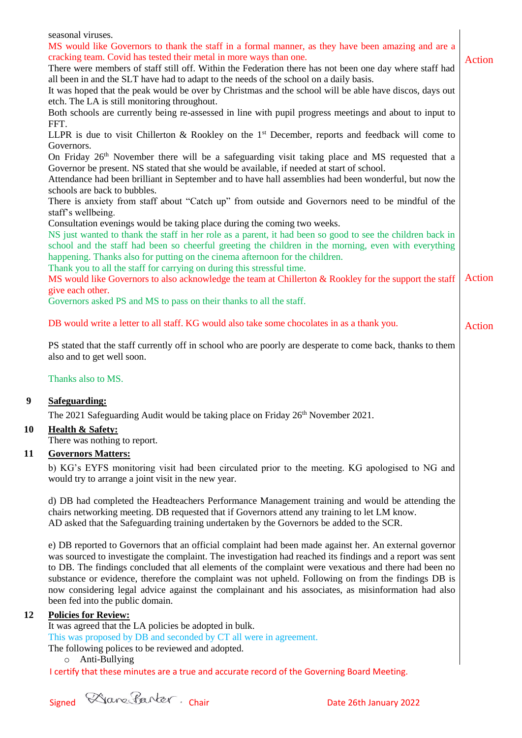|           | seasonal viruses.<br>MS would like Governors to thank the staff in a formal manner, as they have been amazing and are a                                                                                             |               |
|-----------|---------------------------------------------------------------------------------------------------------------------------------------------------------------------------------------------------------------------|---------------|
|           | cracking team. Covid has tested their metal in more ways than one.                                                                                                                                                  | <b>Action</b> |
|           | There were members of staff still off. Within the Federation there has not been one day where staff had                                                                                                             |               |
|           | all been in and the SLT have had to adapt to the needs of the school on a daily basis.                                                                                                                              |               |
|           | It was hoped that the peak would be over by Christmas and the school will be able have discos, days out                                                                                                             |               |
|           | etch. The LA is still monitoring throughout.                                                                                                                                                                        |               |
|           | Both schools are currently being re-assessed in line with pupil progress meetings and about to input to                                                                                                             |               |
|           | FFT.                                                                                                                                                                                                                |               |
|           | LLPR is due to visit Chillerton & Rookley on the 1 <sup>st</sup> December, reports and feedback will come to<br>Governors.                                                                                          |               |
|           | On Friday 26 <sup>th</sup> November there will be a safeguarding visit taking place and MS requested that a                                                                                                         |               |
|           | Governor be present. NS stated that she would be available, if needed at start of school.                                                                                                                           |               |
|           | Attendance had been brilliant in September and to have hall assemblies had been wonderful, but now the                                                                                                              |               |
|           | schools are back to bubbles.                                                                                                                                                                                        |               |
|           | There is anxiety from staff about "Catch up" from outside and Governors need to be mindful of the<br>staff's wellbeing.                                                                                             |               |
|           | Consultation evenings would be taking place during the coming two weeks.                                                                                                                                            |               |
|           | NS just wanted to thank the staff in her role as a parent, it had been so good to see the children back in                                                                                                          |               |
|           | school and the staff had been so cheerful greeting the children in the morning, even with everything                                                                                                                |               |
|           | happening. Thanks also for putting on the cinema afternoon for the children.                                                                                                                                        |               |
|           | Thank you to all the staff for carrying on during this stressful time.<br>MS would like Governors to also acknowledge the team at Chillerton & Rookley for the support the staff                                    | Action        |
|           | give each other.                                                                                                                                                                                                    |               |
|           | Governors asked PS and MS to pass on their thanks to all the staff.                                                                                                                                                 |               |
|           |                                                                                                                                                                                                                     |               |
|           | DB would write a letter to all staff. KG would also take some chocolates in as a thank you.                                                                                                                         | Action        |
|           | PS stated that the staff currently off in school who are poorly are desperate to come back, thanks to them<br>also and to get well soon.                                                                            |               |
|           |                                                                                                                                                                                                                     |               |
|           | Thanks also to MS.                                                                                                                                                                                                  |               |
| 9         | Safeguarding:                                                                                                                                                                                                       |               |
|           | The 2021 Safeguarding Audit would be taking place on Friday 26 <sup>th</sup> November 2021.                                                                                                                         |               |
| <b>10</b> | <b>Health &amp; Safety:</b>                                                                                                                                                                                         |               |
|           | There was nothing to report.                                                                                                                                                                                        |               |
| 11        | <b>Governors Matters:</b>                                                                                                                                                                                           |               |
|           | b) KG's EYFS monitoring visit had been circulated prior to the meeting. KG apologised to NG and                                                                                                                     |               |
|           | would try to arrange a joint visit in the new year.                                                                                                                                                                 |               |
|           | d) DB had completed the Headteachers Performance Management training and would be attending the                                                                                                                     |               |
|           | chairs networking meeting. DB requested that if Governors attend any training to let LM know.                                                                                                                       |               |
|           | AD asked that the Safeguarding training undertaken by the Governors be added to the SCR.                                                                                                                            |               |
|           |                                                                                                                                                                                                                     |               |
|           | e) DB reported to Governors that an official complaint had been made against her. An external governor                                                                                                              |               |
|           | was sourced to investigate the complaint. The investigation had reached its findings and a report was sent<br>to DB. The findings concluded that all elements of the complaint were vexatious and there had been no |               |
|           | substance or evidence, therefore the complaint was not upheld. Following on from the findings DB is                                                                                                                 |               |
|           | now considering legal advice against the complainant and his associates, as misinformation had also                                                                                                                 |               |
|           | been fed into the public domain.                                                                                                                                                                                    |               |

## **12 Policies for Review:**

It was agreed that the LA policies be adopted in bulk.

This was proposed by DB and seconded by CT all were in agreement.

The following polices to be reviewed and adopted.

o Anti-Bullying

I certify that these minutes are a true and accurate record of the Governing Board Meeting.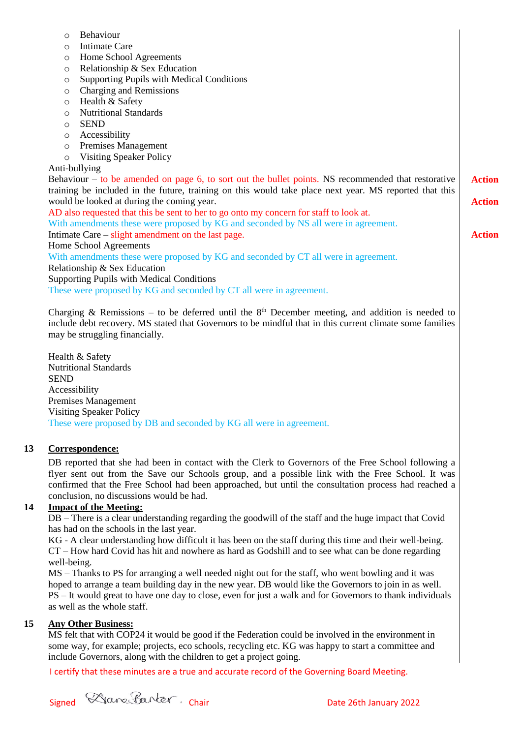| Behaviour<br>$\circ$                                                                                   |               |
|--------------------------------------------------------------------------------------------------------|---------------|
| <b>Intimate Care</b><br>$\circ$                                                                        |               |
| Home School Agreements<br>$\circ$                                                                      |               |
| Relationship & Sex Education<br>$\circ$                                                                |               |
| <b>Supporting Pupils with Medical Conditions</b><br>$\circ$                                            |               |
| Charging and Remissions<br>$\circ$                                                                     |               |
| Health & Safety<br>$\circ$                                                                             |               |
| <b>Nutritional Standards</b><br>$\circ$                                                                |               |
| <b>SEND</b><br>$\circ$                                                                                 |               |
| Accessibility<br>$\circ$                                                                               |               |
| Premises Management<br>$\circ$                                                                         |               |
| <b>Visiting Speaker Policy</b><br>$\circ$                                                              |               |
| Anti-bullying                                                                                          |               |
| Behaviour $-$ to be amended on page 6, to sort out the bullet points. NS recommended that restorative  | <b>Action</b> |
| training be included in the future, training on this would take place next year. MS reported that this |               |
| would be looked at during the coming year.                                                             | <b>Action</b> |
| AD also requested that this be sent to her to go onto my concern for staff to look at.                 |               |
| With amendments these were proposed by KG and seconded by NS all were in agreement.                    |               |
| Intimate Care – slight amendment on the last page.                                                     | <b>Action</b> |
| Home School Agreements                                                                                 |               |
| With amendments these were proposed by KG and seconded by CT all were in agreement.                    |               |
| Relationship & Sex Education                                                                           |               |
| <b>Supporting Pupils with Medical Conditions</b>                                                       |               |
| These were proposed by KG and seconded by CT all were in agreement.                                    |               |
|                                                                                                        |               |

Charging & Remissions – to be deferred until the  $8<sup>th</sup>$  December meeting, and addition is needed to include debt recovery. MS stated that Governors to be mindful that in this current climate some families may be struggling financially.

Health & Safety Nutritional Standards **SEND** Accessibility Premises Management Visiting Speaker Policy These were proposed by DB and seconded by KG all were in agreement.

### **13 Correspondence:**

DB reported that she had been in contact with the Clerk to Governors of the Free School following a flyer sent out from the Save our Schools group, and a possible link with the Free School. It was confirmed that the Free School had been approached, but until the consultation process had reached a conclusion, no discussions would be had.

#### **14 Impact of the Meeting:**

DB – There is a clear understanding regarding the goodwill of the staff and the huge impact that Covid has had on the schools in the last year.

KG - A clear understanding how difficult it has been on the staff during this time and their well-being. CT – How hard Covid has hit and nowhere as hard as Godshill and to see what can be done regarding well-being.

MS – Thanks to PS for arranging a well needed night out for the staff, who went bowling and it was hoped to arrange a team building day in the new year. DB would like the Governors to join in as well. PS – It would great to have one day to close, even for just a walk and for Governors to thank individuals as well as the whole staff.

#### **15 Any Other Business:**

MS felt that with COP24 it would be good if the Federation could be involved in the environment in some way, for example; projects, eco schools, recycling etc. KG was happy to start a committee and include Governors, along with the children to get a project going.

I certify that these minutes are a true and accurate record of the Governing Board Meeting.

Signed Chair Chair Chair Date 26th January 2022